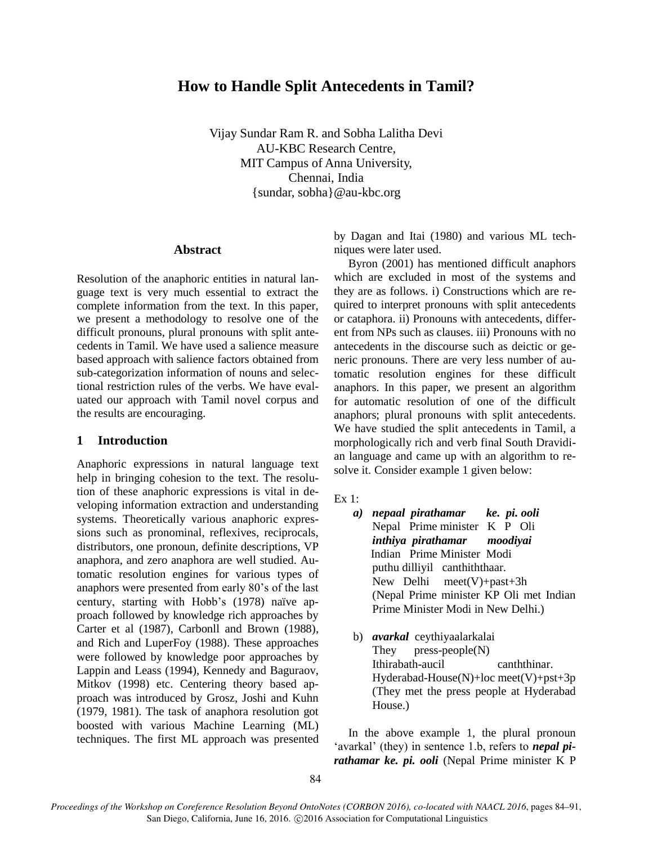# **How to Handle Split Antecedents in Tamil?**

Vijay Sundar Ram R. and Sobha Lalitha Devi AU-KBC Research Centre, MIT Campus of Anna University, Chennai, India {sundar, sobha}@au-kbc.org

### **Abstract**

Resolution of the anaphoric entities in natural language text is very much essential to extract the complete information from the text. In this paper, we present a methodology to resolve one of the difficult pronouns, plural pronouns with split antecedents in Tamil. We have used a salience measure based approach with salience factors obtained from sub-categorization information of nouns and selectional restriction rules of the verbs. We have evaluated our approach with Tamil novel corpus and the results are encouraging.

### **1 Introduction**

Anaphoric expressions in natural language text help in bringing cohesion to the text. The resolution of these anaphoric expressions is vital in developing information extraction and understanding systems. Theoretically various anaphoric expressions such as pronominal, reflexives, reciprocals, distributors, one pronoun, definite descriptions, VP anaphora, and zero anaphora are well studied. Automatic resolution engines for various types of anaphors were presented from early 80's of the last century, starting with Hobb's (1978) naïve approach followed by knowledge rich approaches by Carter et al (1987), Carbonll and Brown (1988), and Rich and LuperFoy (1988). These approaches were followed by knowledge poor approaches by Lappin and Leass (1994), Kennedy and Baguraov, Mitkov (1998) etc. Centering theory based approach was introduced by Grosz, Joshi and Kuhn (1979, 1981). The task of anaphora resolution got boosted with various Machine Learning (ML) techniques. The first ML approach was presented by Dagan and Itai (1980) and various ML techniques were later used.

Byron (2001) has mentioned difficult anaphors which are excluded in most of the systems and they are as follows. i) Constructions which are required to interpret pronouns with split antecedents or cataphora. ii) Pronouns with antecedents, different from NPs such as clauses. iii) Pronouns with no antecedents in the discourse such as deictic or generic pronouns. There are very less number of automatic resolution engines for these difficult anaphors. In this paper, we present an algorithm for automatic resolution of one of the difficult anaphors; plural pronouns with split antecedents. We have studied the split antecedents in Tamil, a morphologically rich and verb final South Dravidian language and came up with an algorithm to resolve it. Consider example 1 given below:

- *a) nepaal pirathamar ke. pi. ooli*  Nepal Prime minister K P Oli *inthiya pirathamar moodiyai* Indian Prime Minister Modi puthu dilliyil canthiththaar. New Delhi meet(V)+past+3h (Nepal Prime minister KP Oli met Indian Prime Minister Modi in New Delhi.)
- b) *avarkal* ceythiyaalarkalai They press-people(N) Ithirabath-aucil canththinar. Hyderabad-House $(N)$ +loc meet $(V)$ +pst+3p (They met the press people at Hyderabad House.)

In the above example 1, the plural pronoun 'avarkal' (they) in sentence 1.b, refers to *nepal pirathamar ke. pi. ooli* (Nepal Prime minister K P

Ex 1: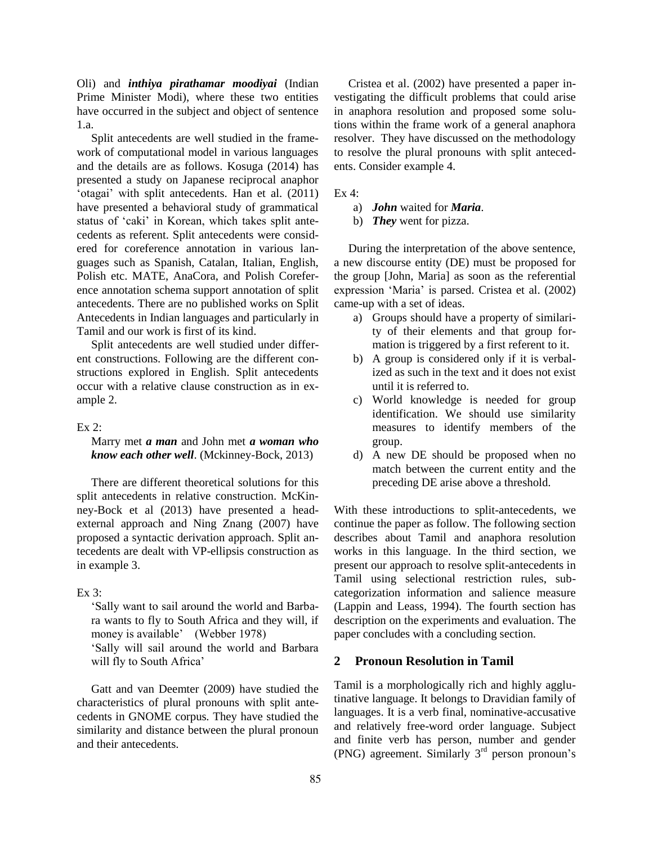Oli) and *inthiya pirathamar moodiyai* (Indian Prime Minister Modi), where these two entities have occurred in the subject and object of sentence 1.a.

Split antecedents are well studied in the framework of computational model in various languages and the details are as follows. Kosuga (2014) has presented a study on Japanese reciprocal anaphor 'otagai' with split antecedents. Han et al. (2011) have presented a behavioral study of grammatical status of 'caki' in Korean, which takes split antecedents as referent. Split antecedents were considered for coreference annotation in various languages such as Spanish, Catalan, Italian, English, Polish etc. MATE, AnaCora, and Polish Coreference annotation schema support annotation of split antecedents. There are no published works on Split Antecedents in Indian languages and particularly in Tamil and our work is first of its kind.

Split antecedents are well studied under different constructions. Following are the different constructions explored in English. Split antecedents occur with a relative clause construction as in example 2.

#### Ex 2:

### Marry met *a man* and John met *a woman who know each other well*. (Mckinney-Bock, 2013)

There are different theoretical solutions for this split antecedents in relative construction. McKinney-Bock et al (2013) have presented a headexternal approach and Ning Znang (2007) have proposed a syntactic derivation approach. Split antecedents are dealt with VP-ellipsis construction as in example 3.

### Ex 3:

'Sally want to sail around the world and Barbara wants to fly to South Africa and they will, if money is available' (Webber 1978)

'Sally will sail around the world and Barbara will fly to South Africa'

Gatt and van Deemter (2009) have studied the characteristics of plural pronouns with split antecedents in GNOME corpus. They have studied the similarity and distance between the plural pronoun and their antecedents.

Cristea et al. (2002) have presented a paper investigating the difficult problems that could arise in anaphora resolution and proposed some solutions within the frame work of a general anaphora resolver. They have discussed on the methodology to resolve the plural pronouns with split antecedents. Consider example 4.

Ex 4:

- a) *John* waited for *Maria*.
- b) *They* went for pizza.

During the interpretation of the above sentence, a new discourse entity (DE) must be proposed for the group [John, Maria] as soon as the referential expression 'Maria' is parsed. Cristea et al. (2002) came-up with a set of ideas.

- a) Groups should have a property of similarity of their elements and that group formation is triggered by a first referent to it.
- b) A group is considered only if it is verbalized as such in the text and it does not exist until it is referred to.
- c) World knowledge is needed for group identification. We should use similarity measures to identify members of the group.
- d) A new DE should be proposed when no match between the current entity and the preceding DE arise above a threshold.

With these introductions to split-antecedents, we continue the paper as follow. The following section describes about Tamil and anaphora resolution works in this language. In the third section, we present our approach to resolve split-antecedents in Tamil using selectional restriction rules, subcategorization information and salience measure (Lappin and Leass, 1994). The fourth section has description on the experiments and evaluation. The paper concludes with a concluding section.

### **2 Pronoun Resolution in Tamil**

Tamil is a morphologically rich and highly agglutinative language. It belongs to Dravidian family of languages. It is a verb final, nominative-accusative and relatively free-word order language. Subject and finite verb has person, number and gender (PNG) agreement. Similarly  $3<sup>rd</sup>$  person pronoun's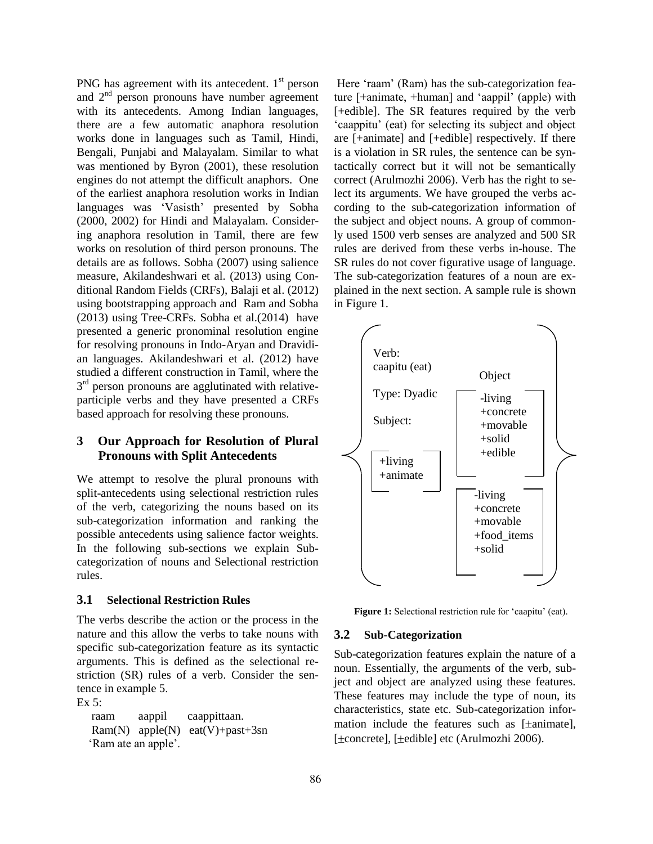PNG has agreement with its antecedent.  $1<sup>st</sup>$  person and 2<sup>nd</sup> person pronouns have number agreement with its antecedents. Among Indian languages, there are a few automatic anaphora resolution works done in languages such as Tamil, Hindi, Bengali, Punjabi and Malayalam. Similar to what was mentioned by Byron (2001), these resolution engines do not attempt the difficult anaphors. One of the earliest anaphora resolution works in Indian languages was 'Vasisth' presented by Sobha (2000, 2002) for Hindi and Malayalam. Considering anaphora resolution in Tamil, there are few works on resolution of third person pronouns. The details are as follows. Sobha (2007) using salience measure, Akilandeshwari et al. (2013) using Conditional Random Fields (CRFs), Balaji et al. (2012) using bootstrapping approach and Ram and Sobha (2013) using Tree-CRFs. Sobha et al.(2014) have presented a generic pronominal resolution engine for resolving pronouns in Indo-Aryan and Dravidian languages. Akilandeshwari et al. (2012) have studied a different construction in Tamil, where the  $3<sup>rd</sup>$  person pronouns are agglutinated with relativeparticiple verbs and they have presented a CRFs based approach for resolving these pronouns.

# **3 Our Approach for Resolution of Plural Pronouns with Split Antecedents**

We attempt to resolve the plural pronouns with split-antecedents using selectional restriction rules of the verb, categorizing the nouns based on its sub-categorization information and ranking the possible antecedents using salience factor weights. In the following sub-sections we explain Subcategorization of nouns and Selectional restriction rules.

## **3.1 Selectional Restriction Rules**

The verbs describe the action or the process in the nature and this allow the verbs to take nouns with specific sub-categorization feature as its syntactic arguments. This is defined as the selectional restriction (SR) rules of a verb. Consider the sentence in example 5.

Ex 5:

 raam aappil caappittaan. Ram(N) apple(N) eat(V)+past+3sn 'Ram ate an apple'.

Here 'raam' (Ram) has the sub-categorization feature [+animate, +human] and 'aappil' (apple) with [+edible]. The SR features required by the verb 'caappitu' (eat) for selecting its subject and object are [+animate] and [+edible] respectively. If there is a violation in SR rules, the sentence can be syntactically correct but it will not be semantically correct (Arulmozhi 2006). Verb has the right to select its arguments. We have grouped the verbs according to the sub-categorization information of the subject and object nouns. A group of commonly used 1500 verb senses are analyzed and 500 SR rules are derived from these verbs in-house. The SR rules do not cover figurative usage of language. The sub-categorization features of a noun are explained in the next section. A sample rule is shown in Figure 1.



Figure 1: Selectional restriction rule for 'caapitu' (eat).

### **3.2 Sub-Categorization**

Sub-categorization features explain the nature of a noun. Essentially, the arguments of the verb, subject and object are analyzed using these features. These features may include the type of noun, its characteristics, state etc. Sub-categorization information include the features such as  $[\pm$ animate], [ $\pm$ concrete], [ $\pm$ edible] etc (Arulmozhi 2006).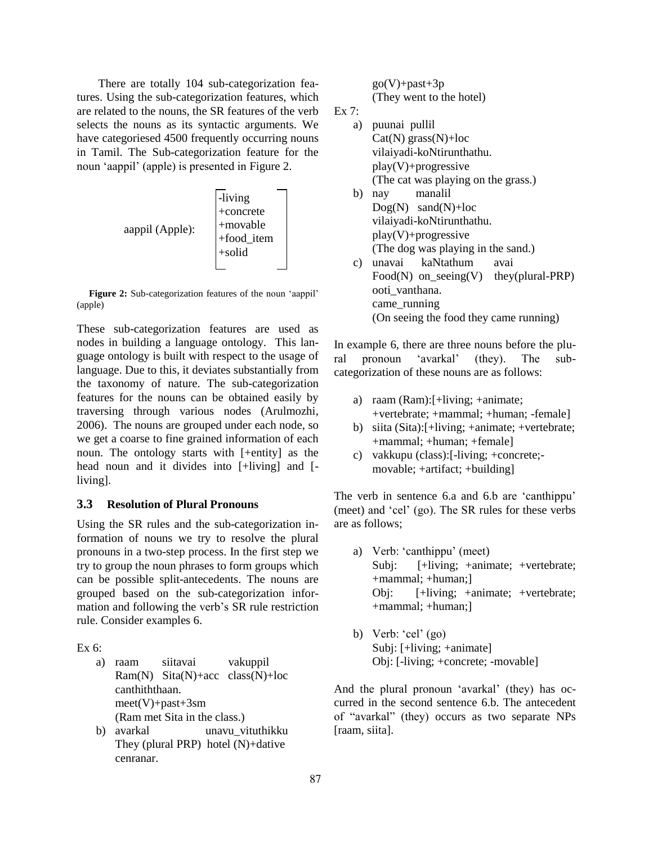There are totally 104 sub-categorization features. Using the sub-categorization features, which are related to the nouns, the SR features of the verb selects the nouns as its syntactic arguments. We have categoriesed 4500 frequently occurring nouns in Tamil. The Sub-categorization feature for the noun 'aappil' (apple) is presented in Figure 2.



**Figure 2:** Sub-categorization features of the noun 'aappil' (apple)

These sub-categorization features are used as nodes in building a language ontology. This language ontology is built with respect to the usage of language. Due to this, it deviates substantially from the taxonomy of nature. The sub-categorization features for the nouns can be obtained easily by traversing through various nodes (Arulmozhi, 2006). The nouns are grouped under each node, so we get a coarse to fine grained information of each noun. The ontology starts with [+entity] as the head noun and it divides into [+living] and [ living].

### **3.3 Resolution of Plural Pronouns**

Using the SR rules and the sub-categorization information of nouns we try to resolve the plural pronouns in a two-step process. In the first step we try to group the noun phrases to form groups which can be possible split-antecedents. The nouns are grouped based on the sub-categorization information and following the verb's SR rule restriction rule. Consider examples 6.

Ex 6:

- a) raam siitavai vakuppil Ram $(N)$  Sita $(N)$ +acc class $(N)$ +loc canthiththaan. meet(V)+past+3sm (Ram met Sita in the class.)
- b) avarkal unavu\_vituthikku They (plural PRP) hotel (N)+dative cenranar.

 $g_0(V)$ +past+3p (They went to the hotel)

Ex 7:

- a) puunai pullil  $Cat(N)$  grass $(N)$ +loc vilaiyadi-koNtirunthathu. play(V)+progressive (The cat was playing on the grass.) b) nay manalil  $Dog(N)$  sand $(N)$ +loc vilaiyadi-koNtirunthathu. play(V)+progressive (The dog was playing in the sand.) c) unavai kaNtathum avai
- Food(N) on\_seeing(V) they(plural-PRP) ooti\_vanthana. came\_running (On seeing the food they came running)

In example 6, there are three nouns before the plural pronoun 'avarkal' (they). The subcategorization of these nouns are as follows:

- a) raam (Ram):[+living; +animate; +vertebrate; +mammal; +human; -female]
- b) siita (Sita):[+living; +animate; +vertebrate; +mammal; +human; +female]
- c) vakkupu (class):[-living; +concrete; movable; +artifact; +building]

The verb in sentence 6.a and 6.b are 'canthippu' (meet) and 'cel' (go). The SR rules for these verbs are as follows;

- a) Verb: 'canthippu' (meet) Subj: [+living; +animate; +vertebrate; +mammal; +human;] Obj: [+living; +animate; +vertebrate; +mammal; +human;]
- b) Verb: 'cel' (go) Subj: [+living; +animate] Obj: [-living; +concrete; -movable]

And the plural pronoun 'avarkal' (they) has occurred in the second sentence 6.b. The antecedent of "avarkal" (they) occurs as two separate NPs [raam, siita].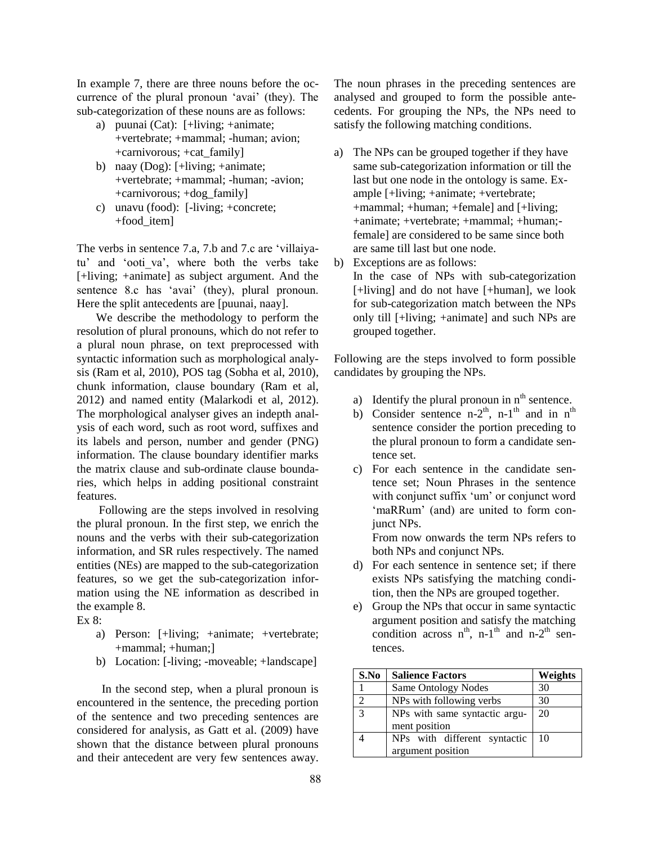In example 7, there are three nouns before the occurrence of the plural pronoun 'avai' (they). The sub-categorization of these nouns are as follows:

- a) puunai (Cat): [+living; +animate; +vertebrate; +mammal; -human; avion; +carnivorous; +cat\_family]
- b) naay (Dog): [+living; +animate; +vertebrate; +mammal; -human; -avion; +carnivorous; +dog\_family]
- c) unavu (food): [-living; +concrete; +food\_item]

The verbs in sentence 7.a, 7.b and 7.c are 'villaiyatu' and 'ooti va', where both the verbs take [+living; +animate] as subject argument. And the sentence 8.c has 'avai' (they), plural pronoun. Here the split antecedents are [puunai, naay].

We describe the methodology to perform the resolution of plural pronouns, which do not refer to a plural noun phrase, on text preprocessed with syntactic information such as morphological analysis (Ram et al, 2010), POS tag (Sobha et al, 2010), chunk information, clause boundary (Ram et al, 2012) and named entity (Malarkodi et al, 2012). The morphological analyser gives an indepth analysis of each word, such as root word, suffixes and its labels and person, number and gender (PNG) information. The clause boundary identifier marks the matrix clause and sub-ordinate clause boundaries, which helps in adding positional constraint features.

Following are the steps involved in resolving the plural pronoun. In the first step, we enrich the nouns and the verbs with their sub-categorization information, and SR rules respectively. The named entities (NEs) are mapped to the sub-categorization features, so we get the sub-categorization information using the NE information as described in the example 8.

Ex 8:

- a) Person: [+living; +animate; +vertebrate; +mammal; +human;]
- b) Location: [-living; -moveable; +landscape]

 In the second step, when a plural pronoun is encountered in the sentence, the preceding portion of the sentence and two preceding sentences are considered for analysis, as Gatt et al. (2009) have shown that the distance between plural pronouns and their antecedent are very few sentences away. The noun phrases in the preceding sentences are analysed and grouped to form the possible antecedents. For grouping the NPs, the NPs need to satisfy the following matching conditions.

- a) The NPs can be grouped together if they have same sub-categorization information or till the last but one node in the ontology is same. Example [+living; +animate; +vertebrate; +mammal; +human; +female] and [+living; +animate; +vertebrate; +mammal; +human; female] are considered to be same since both are same till last but one node.
- b) Exceptions are as follows: In the case of NPs with sub-categorization [+living] and do not have [+human], we look for sub-categorization match between the NPs only till [+living; +animate] and such NPs are grouped together.

Following are the steps involved to form possible candidates by grouping the NPs.

- a) Identify the plural pronoun in  $n<sup>th</sup>$  sentence.
- b) Consider sentence  $n-2<sup>th</sup>$ ,  $n-1<sup>th</sup>$  and in  $n<sup>th</sup>$ sentence consider the portion preceding to the plural pronoun to form a candidate sentence set.
- c) For each sentence in the candidate sentence set; Noun Phrases in the sentence with conjunct suffix 'um' or conjunct word 'maRRum' (and) are united to form conjunct NPs.

From now onwards the term NPs refers to both NPs and conjunct NPs.

- d) For each sentence in sentence set; if there exists NPs satisfying the matching condition, then the NPs are grouped together.
- e) Group the NPs that occur in same syntactic argument position and satisfy the matching condition across  $n^{th}$ , n-1<sup>th</sup> and n-2<sup>th</sup> sentences.

| S.No          | <b>Salience Factors</b>       | Weights |
|---------------|-------------------------------|---------|
|               | <b>Same Ontology Nodes</b>    | 30      |
|               | NPs with following verbs      | 30      |
| $\mathcal{R}$ | NPs with same syntactic argu- | 20      |
|               | ment position                 |         |
|               | NPs with different syntactic  | 10      |
|               | argument position             |         |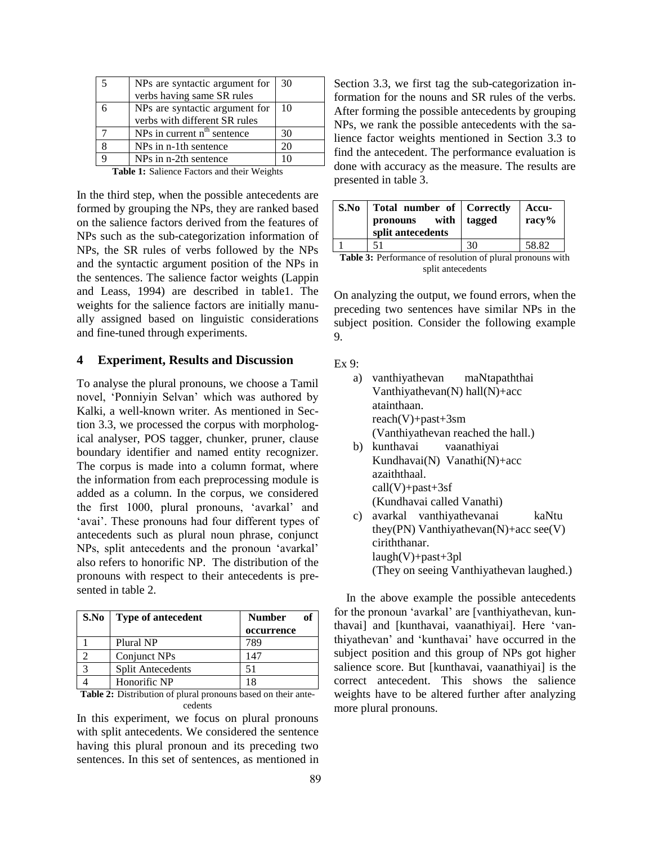| NPs are syntactic argument for          | -30 |
|-----------------------------------------|-----|
| verbs having same SR rules              |     |
| NPs are syntactic argument for          | -10 |
| verbs with different SR rules           |     |
| NPs in current n <sup>th</sup> sentence | 30  |
| NPs in n-1th sentence                   | 20  |
| NPs in n-2th sentence                   |     |

**Table 1:** Salience Factors and their Weights

In the third step, when the possible antecedents are formed by grouping the NPs, they are ranked based on the salience factors derived from the features of NPs such as the sub-categorization information of NPs, the SR rules of verbs followed by the NPs and the syntactic argument position of the NPs in the sentences. The salience factor weights (Lappin and Leass, 1994) are described in table1. The weights for the salience factors are initially manually assigned based on linguistic considerations and fine-tuned through experiments.

### **4 Experiment, Results and Discussion**

To analyse the plural pronouns, we choose a Tamil novel, 'Ponniyin Selvan' which was authored by Kalki, a well-known writer. As mentioned in Section 3.3, we processed the corpus with morphological analyser, POS tagger, chunker, pruner, clause boundary identifier and named entity recognizer. The corpus is made into a column format, where the information from each preprocessing module is added as a column. In the corpus, we considered the first 1000, plural pronouns, 'avarkal' and 'avai'. These pronouns had four different types of antecedents such as plural noun phrase, conjunct NPs, split antecedents and the pronoun 'avarkal' also refers to honorific NP. The distribution of the pronouns with respect to their antecedents is presented in table 2.

| S.No | Type of antecedent       | <b>Number</b> |
|------|--------------------------|---------------|
|      |                          | occurrence    |
|      | Plural NP                | 789           |
|      | Conjunct NPs             | 147           |
| ⌒    | <b>Split Antecedents</b> | 51            |
|      | Honorific NP             | 18            |

**Table 2:** Distribution of plural pronouns based on their antecedents

In this experiment, we focus on plural pronouns with split antecedents. We considered the sentence having this plural pronoun and its preceding two sentences. In this set of sentences, as mentioned in Section 3.3, we first tag the sub-categorization information for the nouns and SR rules of the verbs. After forming the possible antecedents by grouping NPs, we rank the possible antecedents with the salience factor weights mentioned in Section 3.3 to find the antecedent. The performance evaluation is done with accuracy as the measure. The results are presented in table 3.

| S.No | Total number of Correctly<br>pronouns with<br>split antecedents | tagged | Accu-<br>$\text{racy} \%$ |
|------|-----------------------------------------------------------------|--------|---------------------------|
|      | 51                                                              | 30     | 58.82                     |
|      | $\sim$ $\sim$ $\sim$                                            |        |                           |

|                   | <b>Table 3:</b> Performance of resolution of plural pronouns with |  |
|-------------------|-------------------------------------------------------------------|--|
| split antecedents |                                                                   |  |

On analyzing the output, we found errors, when the preceding two sentences have similar NPs in the subject position. Consider the following example 9.

Ex  $9$ 

- a) vanthiyathevan maNtapaththai Vanthiyathevan(N) hall(N)+acc atainthaan. reach(V)+past+3sm (Vanthiyathevan reached the hall.) b) kunthavai vaanathiyai
- Kundhavai(N) Vanathi(N)+acc azaiththaal. call(V)+past+3sf (Kundhavai called Vanathi)
- c) avarkal vanthiyathevanai kaNtu they(PN) Vanthiyathevan(N)+acc see(V) ciriththanar.  $l$ augh $(V)$ +past+3pl (They on seeing Vanthiyathevan laughed.)

In the above example the possible antecedents for the pronoun 'avarkal' are [vanthiyathevan, kunthavai] and [kunthavai, vaanathiyai]. Here 'vanthiyathevan' and 'kunthavai' have occurred in the subject position and this group of NPs got higher salience score. But [kunthavai, vaanathivai] is the correct antecedent. This shows the salience weights have to be altered further after analyzing more plural pronouns.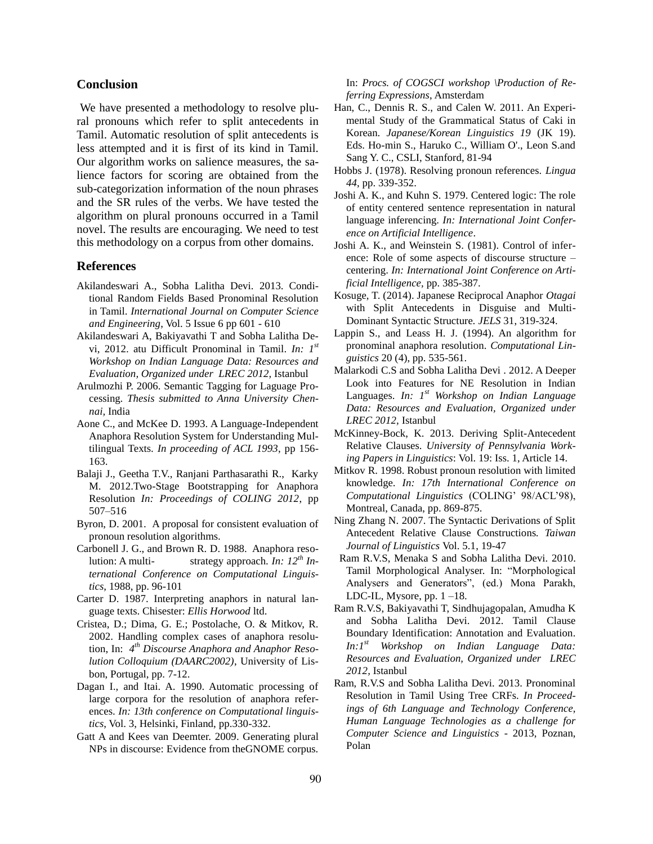### **Conclusion**

We have presented a methodology to resolve plural pronouns which refer to split antecedents in Tamil. Automatic resolution of split antecedents is less attempted and it is first of its kind in Tamil. Our algorithm works on salience measures, the salience factors for scoring are obtained from the sub-categorization information of the noun phrases and the SR rules of the verbs. We have tested the algorithm on plural pronouns occurred in a Tamil novel. The results are encouraging. We need to test this methodology on a corpus from other domains.

#### **References**

- Akilandeswari A., Sobha Lalitha Devi. 2013. Conditional Random Fields Based Pronominal Resolution in Tamil. *International Journal on Computer Science and Engineering*, Vol. 5 Issue 6 pp 601 - 610
- Akilandeswari A, Bakiyavathi T and Sobha Lalitha Devi, 2012. atu Difficult Pronominal in Tamil. *In: 1 st Workshop on Indian Language Data: Resources and Evaluation, Organized under LREC 2012,* Istanbul
- Arulmozhi P. 2006. Semantic Tagging for Laguage Processing. *Thesis submitted to Anna University Chennai,* India
- Aone C., and McKee D. 1993. A Language-Independent Anaphora Resolution System for Understanding Multilingual Texts. *In proceeding of ACL 1993*, pp 156- 163.
- Balaji J., Geetha T.V., Ranjani Parthasarathi R., Karky M. 2012.Two-Stage Bootstrapping for Anaphora Resolution *In: Proceedings of COLING 2012*, pp 507–516
- Byron, D. 2001. A proposal for consistent evaluation of pronoun resolution algorithms*.*
- Carbonell J. G., and Brown R. D. 1988. Anaphora resolution: A multi- strategy approach. *In: 12th International Conference on Computational Linguistics*, 1988, pp. 96-101
- Carter D. 1987. Interpreting anaphors in natural language texts. Chisester: *Ellis Horwood* ltd.
- Cristea, D.; Dima, G. E.; Postolache, O. & Mitkov, R. 2002. Handling complex cases of anaphora resolution, In: *4 th Discourse Anaphora and Anaphor Resolution Colloquium (DAARC2002)*, University of Lisbon, Portugal, pp. 7-12.
- Dagan I., and Itai. A. 1990. Automatic processing of large corpora for the resolution of anaphora references. *In: 13th conference on Computational linguistics*, Vol. 3, Helsinki, Finland, pp.330-332.
- Gatt A and Kees van Deemter. 2009. Generating plural NPs in discourse: Evidence from theGNOME corpus.

In: *Procs. of COGSCI workshop \Production of Referring Expressions*, Amsterdam

- Han, C., Dennis R. S., and Calen W. 2011. An Experimental Study of the Grammatical Status of Caki in Korean. *Japanese/Korean Linguistics 19* (JK 19). Eds. Ho-min S., Haruko C., William O'., Leon S.and Sang Y. C., CSLI, Stanford, 81-94
- Hobbs J. (1978). Resolving pronoun references. *Lingua 44*, pp. 339-352.
- Joshi A. K., and Kuhn S. 1979. Centered logic: The role of entity centered sentence representation in natural language inferencing. *In: International Joint Conference on Artificial Intelligence*.
- Joshi A. K., and Weinstein S. (1981). Control of inference: Role of some aspects of discourse structure – centering. *In: International Joint Conference on Artificial Intelligence,* pp. 385-387.
- Kosuge, T. (2014). Japanese Reciprocal Anaphor *Otagai* with Split Antecedents in Disguise and Multi-Dominant Syntactic Structure*. JELS* 31, 319-324.
- Lappin S., and Leass H. J. (1994). An algorithm for pronominal anaphora resolution. *Computational Linguistics* 20 (4), pp. 535-561.
- Malarkodi C.S and Sobha Lalitha Devi . 2012. A Deeper Look into Features for NE Resolution in Indian Languages. *In: 1 st Workshop on Indian Language Data: Resources and Evaluation, Organized under LREC 2012,* Istanbul
- McKinney-Bock, K. 2013. Deriving Split-Antecedent Relative Clauses. *University of Pennsylvania Working Papers in Linguistics*: Vol. 19: Iss. 1, Article 14.
- Mitkov R. 1998. Robust pronoun resolution with limited knowledge. *In: 17th International Conference on Computational Linguistics* (COLING' 98/ACL'98), Montreal, Canada, pp. 869-875.
- Ning Zhang N. 2007. The Syntactic Derivations of Split Antecedent Relative Clause Constructions*. Taiwan Journal of Linguistics* Vol. 5.1, 19-47
- Ram R.V.S, Menaka S and Sobha Lalitha Devi. 2010. Tamil Morphological Analyser. In: "Morphological Analysers and Generators", (ed.) Mona Parakh, LDC-IL, Mysore, pp. 1 –18.
- Ram R.V.S, Bakiyavathi T, Sindhujagopalan, Amudha K and Sobha Lalitha Devi. 2012. Tamil Clause Boundary Identification: Annotation and Evaluation. *In:1 st Workshop on Indian Language Data: Resources and Evaluation, Organized under LREC 2012,* Istanbul
- Ram, R.V.S and Sobha Lalitha Devi. 2013. Pronominal Resolution in Tamil Using Tree CRFs. *In Proceedings of 6th Language and Technology Conference, Human Language Technologies as a challenge for Computer Science and Linguistics* - 2013, Poznan, Polan